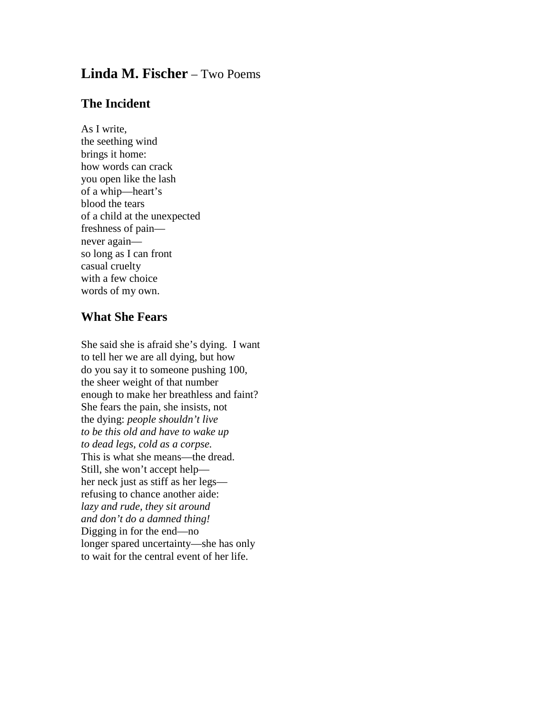## **Linda M. Fischer** – Two Poems

## **The Incident**

As I write, the seething wind brings it home: how words can crack you open like the lash of a whip—heart's blood the tears of a child at the unexpected freshness of pain never again so long as I can front casual cruelty with a few choice words of my own.

## **What She Fears**

She said she is afraid she's dying. I want to tell her we are all dying, but how do you say it to someone pushing 100, the sheer weight of that number enough to make her breathless and faint? She fears the pain, she insists, not the dying: *people shouldn't live to be this old and have to wake up to dead legs, cold as a corpse.* This is what she means—the dread. Still, she won't accept help her neck just as stiff as her legs refusing to chance another aide: *lazy and rude, they sit around and don't do a damned thing!* Digging in for the end—no longer spared uncertainty—she has only to wait for the central event of her life.